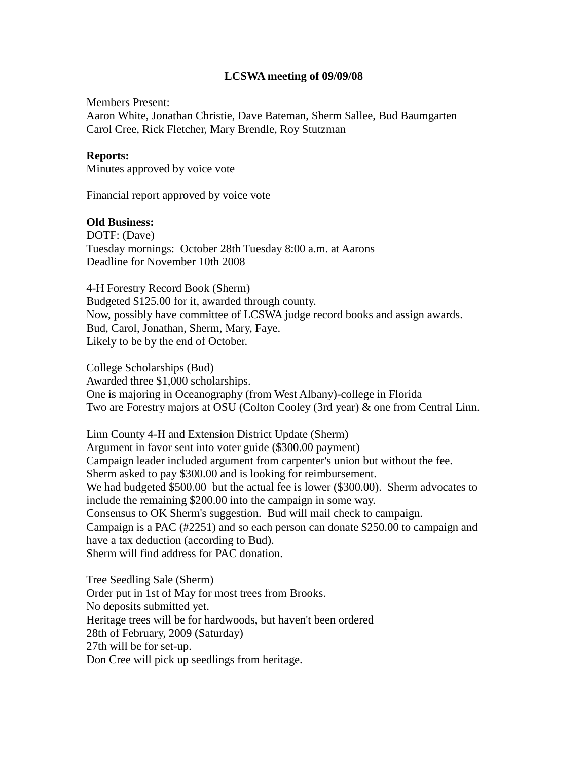## **LCSWA meeting of 09/09/08**

Members Present: Aaron White, Jonathan Christie, Dave Bateman, Sherm Sallee, Bud Baumgarten Carol Cree, Rick Fletcher, Mary Brendle, Roy Stutzman

## **Reports:**

Minutes approved by voice vote

Financial report approved by voice vote

## **Old Business:**

DOTF: (Dave) Tuesday mornings: October 28th Tuesday 8:00 a.m. at Aarons Deadline for November 10th 2008

4-H Forestry Record Book (Sherm) Budgeted \$125.00 for it, awarded through county. Now, possibly have committee of LCSWA judge record books and assign awards. Bud, Carol, Jonathan, Sherm, Mary, Faye. Likely to be by the end of October.

College Scholarships (Bud) Awarded three \$1,000 scholarships. One is majoring in Oceanography (from West Albany)-college in Florida Two are Forestry majors at OSU (Colton Cooley (3rd year) & one from Central Linn.

Linn County 4-H and Extension District Update (Sherm) Argument in favor sent into voter guide (\$300.00 payment) Campaign leader included argument from carpenter's union but without the fee. Sherm asked to pay \$300.00 and is looking for reimbursement. We had budgeted \$500.00 but the actual fee is lower (\$300.00). Sherm advocates to include the remaining \$200.00 into the campaign in some way. Consensus to OK Sherm's suggestion. Bud will mail check to campaign. Campaign is a PAC (#2251) and so each person can donate \$250.00 to campaign and have a tax deduction (according to Bud). Sherm will find address for PAC donation.

Tree Seedling Sale (Sherm) Order put in 1st of May for most trees from Brooks. No deposits submitted yet. Heritage trees will be for hardwoods, but haven't been ordered 28th of February, 2009 (Saturday) 27th will be for set-up. Don Cree will pick up seedlings from heritage.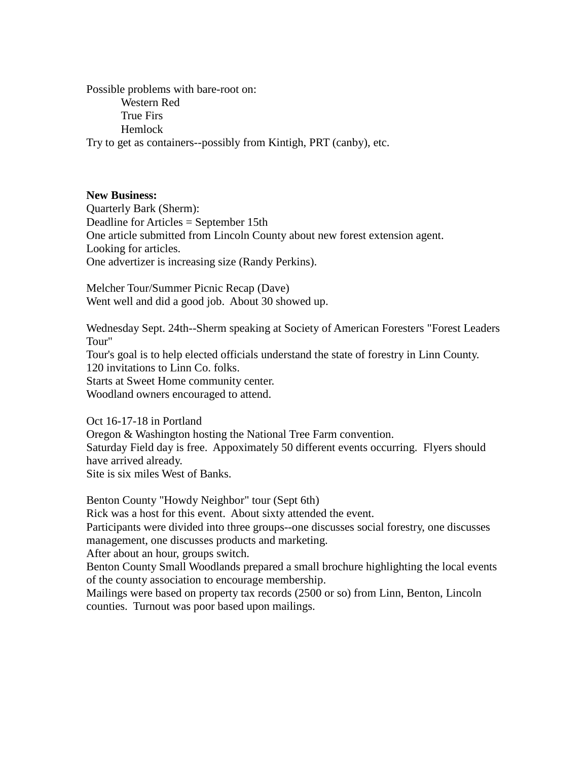Possible problems with bare-root on: Western Red True Firs Hemlock Try to get as containers--possibly from Kintigh, PRT (canby), etc.

#### **New Business:**

Quarterly Bark (Sherm): Deadline for Articles = September 15th One article submitted from Lincoln County about new forest extension agent. Looking for articles. One advertizer is increasing size (Randy Perkins).

Melcher Tour/Summer Picnic Recap (Dave) Went well and did a good job. About 30 showed up.

Wednesday Sept. 24th--Sherm speaking at Society of American Foresters "Forest Leaders Tour" Tour's goal is to help elected officials understand the state of forestry in Linn County.

120 invitations to Linn Co. folks.

Starts at Sweet Home community center.

Woodland owners encouraged to attend.

Oct 16-17-18 in Portland

Oregon & Washington hosting the National Tree Farm convention. Saturday Field day is free. Appoximately 50 different events occurring. Flyers should have arrived already.

Site is six miles West of Banks.

Benton County "Howdy Neighbor" tour (Sept 6th)

Rick was a host for this event. About sixty attended the event.

Participants were divided into three groups--one discusses social forestry, one discusses management, one discusses products and marketing.

After about an hour, groups switch.

Benton County Small Woodlands prepared a small brochure highlighting the local events of the county association to encourage membership.

Mailings were based on property tax records (2500 or so) from Linn, Benton, Lincoln counties. Turnout was poor based upon mailings.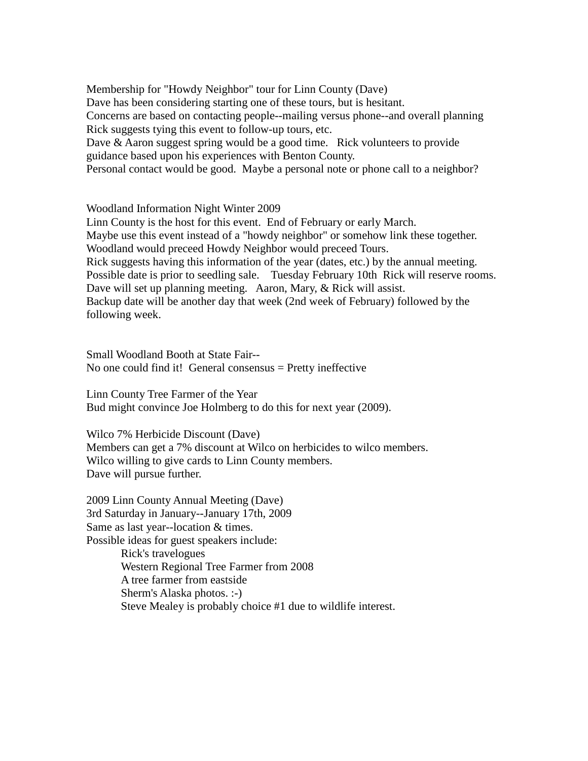Membership for "Howdy Neighbor" tour for Linn County (Dave) Dave has been considering starting one of these tours, but is hesitant. Concerns are based on contacting people--mailing versus phone--and overall planning Rick suggests tying this event to follow-up tours, etc. Dave & Aaron suggest spring would be a good time. Rick volunteers to provide guidance based upon his experiences with Benton County. Personal contact would be good. Maybe a personal note or phone call to a neighbor?

Woodland Information Night Winter 2009

Linn County is the host for this event. End of February or early March. Maybe use this event instead of a "howdy neighbor" or somehow link these together. Woodland would preceed Howdy Neighbor would preceed Tours. Rick suggests having this information of the year (dates, etc.) by the annual meeting. Possible date is prior to seedling sale. Tuesday February 10th Rick will reserve rooms. Dave will set up planning meeting. Aaron, Mary, & Rick will assist. Backup date will be another day that week (2nd week of February) followed by the following week.

Small Woodland Booth at State Fair-- No one could find it! General consensus  $=$  Pretty ineffective

Linn County Tree Farmer of the Year Bud might convince Joe Holmberg to do this for next year (2009).

Wilco 7% Herbicide Discount (Dave) Members can get a 7% discount at Wilco on herbicides to wilco members. Wilco willing to give cards to Linn County members. Dave will pursue further.

2009 Linn County Annual Meeting (Dave) 3rd Saturday in January--January 17th, 2009 Same as last year--location & times. Possible ideas for guest speakers include: Rick's travelogues Western Regional Tree Farmer from 2008 A tree farmer from eastside Sherm's Alaska photos. :-) Steve Mealey is probably choice #1 due to wildlife interest.